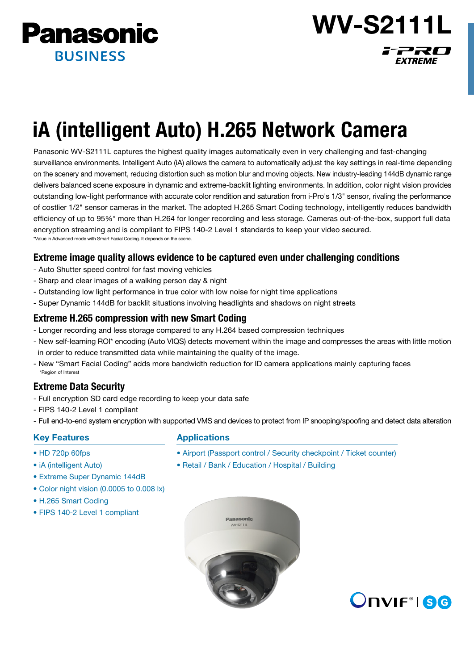



# iA (intelligent Auto) H.265 Network Camera

Panasonic WV-S2111L captures the highest quality images automatically even in very challenging and fast-changing surveillance environments. Intelligent Auto (iA) allows the camera to automatically adjust the key settings in real-time depending on the scenery and movement, reducing distortion such as motion blur and moving objects. New industry-leading 144dB dynamic range delivers balanced scene exposure in dynamic and extreme-backlit lighting environments. In addition, color night vision provides outstanding low-light performance with accurate color rendition and saturation from i-Pro's 1/3" sensor, rivaling the performance of costlier 1/2" sensor cameras in the market. The adopted H.265 Smart Coding technology, intelligently reduces bandwidth efficiency of up to 95%\* more than H.264 for longer recording and less storage. Cameras out-of-the-box, support full data encryption streaming and is compliant to FIPS 140-2 Level 1 standards to keep your video secured. \*Value in Advanced mode with Smart Facial Coding. It depends on the scene.

## Extreme image quality allows evidence to be captured even under challenging conditions

- Auto Shutter speed control for fast moving vehicles
- Sharp and clear images of a walking person day & night
- Outstanding low light performance in true color with low noise for night time applications
- Super Dynamic 144dB for backlit situations involving headlights and shadows on night streets

#### Extreme H.265 compression with new Smart Coding

- Longer recording and less storage compared to any H.264 based compression techniques
- New self-learning ROI\* encoding (Auto VIQS) detects movement within the image and compresses the areas with little motion in order to reduce transmitted data while maintaining the quality of the image.
- New "Smart Facial Coding" adds more bandwidth reduction for ID camera applications mainly capturing faces \*Region of Interest

### Extreme Data Security

- Full encryption SD card edge recording to keep your data safe
- FIPS 140-2 Level 1 compliant
- Full end-to-end system encryption with supported VMS and devices to protect from IP snooping/spoofing and detect data alteration

#### Key Features

- HD 720p 60fps
- iA (intelligent Auto)
- Extreme Super Dynamic 144dB
- Color night vision (0.0005 to 0.008 lx)
- H.265 Smart Coding
- FIPS 140-2 Level 1 compliant

#### Applications

- Airport (Passport control / Security checkpoint / Ticket counter)
- Retail / Bank / Education / Hospital / Building